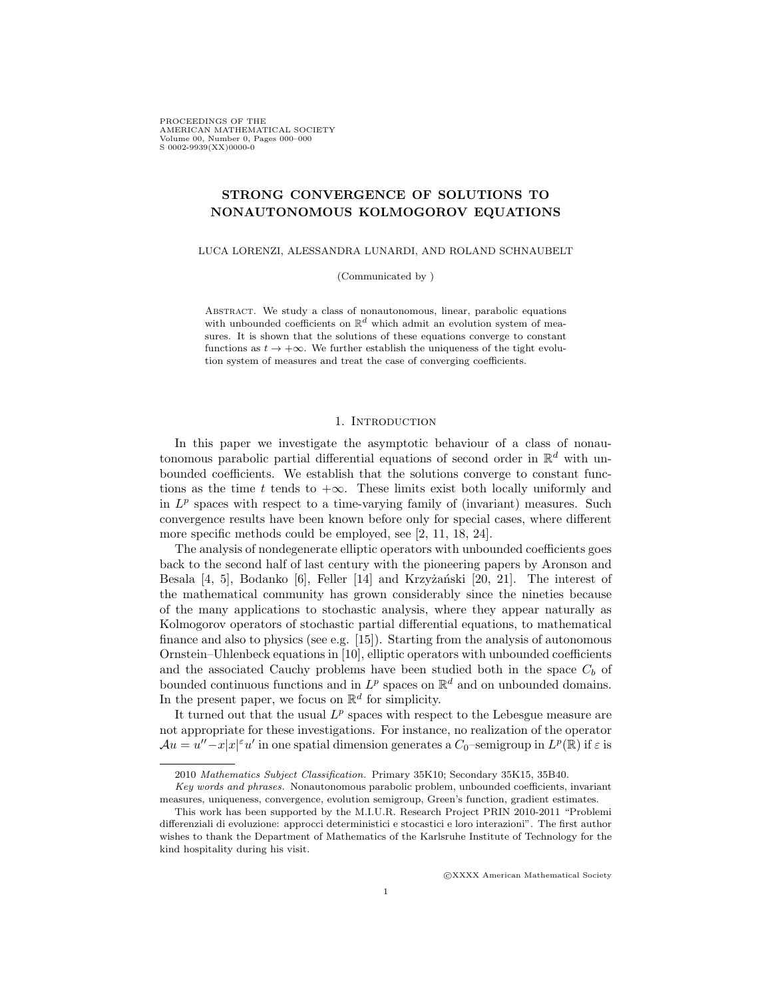PROCEEDINGS OF THE AMERICAN MATHEMATICAL SOCIETY Volume 00, Number 0, Pages 000–000 S 0002-9939(XX)0000-0

# STRONG CONVERGENCE OF SOLUTIONS TO NONAUTONOMOUS KOLMOGOROV EQUATIONS

LUCA LORENZI, ALESSANDRA LUNARDI, AND ROLAND SCHNAUBELT

(Communicated by )

Abstract. We study a class of nonautonomous, linear, parabolic equations with unbounded coefficients on  $\mathbb{R}^d$  which admit an evolution system of measures. It is shown that the solutions of these equations converge to constant functions as  $t \to +\infty$ . We further establish the uniqueness of the tight evolution system of measures and treat the case of converging coefficients.

### 1. INTRODUCTION

In this paper we investigate the asymptotic behaviour of a class of nonautonomous parabolic partial differential equations of second order in  $\mathbb{R}^d$  with unbounded coefficients. We establish that the solutions converge to constant functions as the time t tends to  $+\infty$ . These limits exist both locally uniformly and in  $L^p$  spaces with respect to a time-varying family of (invariant) measures. Such convergence results have been known before only for special cases, where different more specific methods could be employed, see [2, 11, 18, 24].

The analysis of nondegenerate elliptic operators with unbounded coefficients goes back to the second half of last century with the pioneering papers by Aronson and Besala  $[4, 5]$ , Bodanko  $[6]$ , Feller  $[14]$  and Krzyżański  $[20, 21]$ . The interest of the mathematical community has grown considerably since the nineties because of the many applications to stochastic analysis, where they appear naturally as Kolmogorov operators of stochastic partial differential equations, to mathematical finance and also to physics (see e.g. [15]). Starting from the analysis of autonomous Ornstein–Uhlenbeck equations in [10], elliptic operators with unbounded coefficients and the associated Cauchy problems have been studied both in the space  $C_b$  of bounded continuous functions and in  $L^p$  spaces on  $\mathbb{R}^d$  and on unbounded domains. In the present paper, we focus on  $\mathbb{R}^d$  for simplicity.

It turned out that the usual  $L^p$  spaces with respect to the Lebesgue measure are not appropriate for these investigations. For instance, no realization of the operator  $\mathcal{A}u = u'' - x|x|^{\varepsilon}u'$  in one spatial dimension generates a  $C_0$ -semigroup in  $L^p(\mathbb{R})$  if  $\varepsilon$  is

c XXXX American Mathematical Society

<sup>2010</sup> Mathematics Subject Classification. Primary 35K10; Secondary 35K15, 35B40.

Key words and phrases. Nonautonomous parabolic problem, unbounded coefficients, invariant measures, uniqueness, convergence, evolution semigroup, Green's function, gradient estimates.

This work has been supported by the M.I.U.R. Research Project PRIN 2010-2011 "Problemi differenziali di evoluzione: approcci deterministici e stocastici e loro interazioni". The first author wishes to thank the Department of Mathematics of the Karlsruhe Institute of Technology for the kind hospitality during his visit.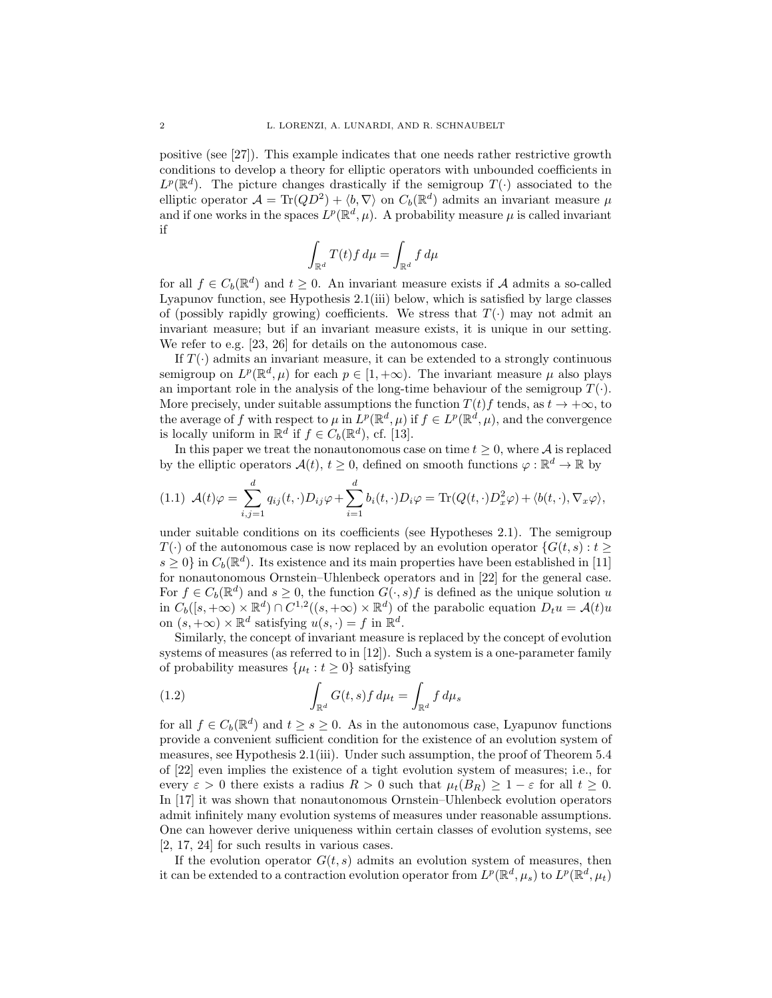positive (see [27]). This example indicates that one needs rather restrictive growth conditions to develop a theory for elliptic operators with unbounded coefficients in  $L^p(\mathbb{R}^d)$ . The picture changes drastically if the semigroup  $T(\cdot)$  associated to the elliptic operator  $\mathcal{A} = \text{Tr}(QD^2) + \langle b, \nabla \rangle$  on  $C_b(\mathbb{R}^d)$  admits an invariant measure  $\mu$ and if one works in the spaces  $L^p(\mathbb{R}^d, \mu)$ . A probability measure  $\mu$  is called invariant if

$$
\int_{\mathbb{R}^d} T(t) f \, d\mu = \int_{\mathbb{R}^d} f \, d\mu
$$

for all  $f \in C_b(\mathbb{R}^d)$  and  $t \geq 0$ . An invariant measure exists if A admits a so-called Lyapunov function, see Hypothesis 2.1(iii) below, which is satisfied by large classes of (possibly rapidly growing) coefficients. We stress that  $T(\cdot)$  may not admit an invariant measure; but if an invariant measure exists, it is unique in our setting. We refer to e.g. [23, 26] for details on the autonomous case.

If  $T(\cdot)$  admits an invariant measure, it can be extended to a strongly continuous semigroup on  $L^p(\mathbb{R}^d, \mu)$  for each  $p \in [1, +\infty)$ . The invariant measure  $\mu$  also plays an important role in the analysis of the long-time behaviour of the semigroup  $T(\cdot)$ . More precisely, under suitable assumptions the function  $T(t)$  f tends, as  $t \to +\infty$ , to the average of f with respect to  $\mu$  in  $L^p(\mathbb{R}^d, \mu)$  if  $f \in L^p(\mathbb{R}^d, \mu)$ , and the convergence is locally uniform in  $\mathbb{R}^d$  if  $f \in C_b(\mathbb{R}^d)$ , cf. [13].

In this paper we treat the nonautonomous case on time  $t \geq 0$ , where A is replaced by the elliptic operators  $\mathcal{A}(t), t \geq 0$ , defined on smooth functions  $\varphi : \mathbb{R}^d \to \mathbb{R}$  by

$$
(1.1) \mathcal{A}(t)\varphi = \sum_{i,j=1}^d q_{ij}(t,\cdot)D_{ij}\varphi + \sum_{i=1}^d b_i(t,\cdot)D_i\varphi = \text{Tr}(Q(t,\cdot)D_x^2\varphi) + \langle b(t,\cdot), \nabla_x \varphi \rangle,
$$

under suitable conditions on its coefficients (see Hypotheses 2.1). The semigroup  $T(\cdot)$  of the autonomous case is now replaced by an evolution operator  $\{G(t, s) : t \geq 0\}$  $s \geq 0$  in  $C_b(\mathbb{R}^d)$ . Its existence and its main properties have been established in [11] for nonautonomous Ornstein–Uhlenbeck operators and in [22] for the general case. For  $f \in C_b(\mathbb{R}^d)$  and  $s \geq 0$ , the function  $G(\cdot, s)f$  is defined as the unique solution u in  $C_b([s, +\infty) \times \mathbb{R}^d) \cap C^{1,2}((s, +\infty) \times \mathbb{R}^d)$  of the parabolic equation  $D_t u = \mathcal{A}(t)u$ on  $(s, +\infty) \times \mathbb{R}^d$  satisfying  $u(s, \cdot) = f$  in  $\mathbb{R}^d$ .

Similarly, the concept of invariant measure is replaced by the concept of evolution systems of measures (as referred to in [12]). Such a system is a one-parameter family of probability measures  $\{\mu_t : t \geq 0\}$  satisfying

(1.2) 
$$
\int_{\mathbb{R}^d} G(t,s) f d\mu_t = \int_{\mathbb{R}^d} f d\mu_s
$$

for all  $f \in C_b(\mathbb{R}^d)$  and  $t \geq s \geq 0$ . As in the autonomous case, Lyapunov functions provide a convenient sufficient condition for the existence of an evolution system of measures, see Hypothesis 2.1(iii). Under such assumption, the proof of Theorem 5.4 of [22] even implies the existence of a tight evolution system of measures; i.e., for every  $\varepsilon > 0$  there exists a radius  $R > 0$  such that  $\mu_t(B_R) \geq 1 - \varepsilon$  for all  $t \geq 0$ . In [17] it was shown that nonautonomous Ornstein–Uhlenbeck evolution operators admit infinitely many evolution systems of measures under reasonable assumptions. One can however derive uniqueness within certain classes of evolution systems, see [2, 17, 24] for such results in various cases.

If the evolution operator  $G(t, s)$  admits an evolution system of measures, then it can be extended to a contraction evolution operator from  $L^p(\mathbb{R}^d, \mu_s)$  to  $L^p(\mathbb{R}^d, \mu_t)$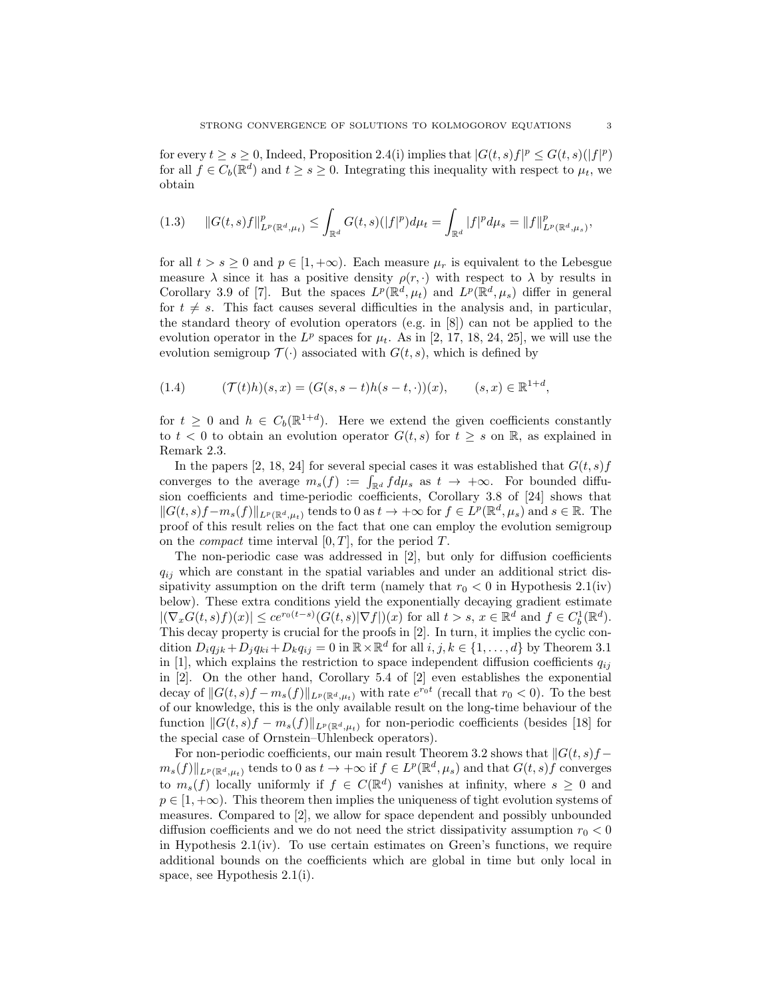for every  $t \geq s \geq 0$ , Indeed, Proposition 2.4(i) implies that  $|G(t, s)f|^p \leq G(t, s)(|f|^p)$ for all  $f \in C_b(\mathbb{R}^d)$  and  $t \geq s \geq 0$ . Integrating this inequality with respect to  $\mu_t$ , we obtain

$$
(1.3) \qquad ||G(t,s)f||_{L^p(\mathbb{R}^d,\mu_t)}^p \leq \int_{\mathbb{R}^d} G(t,s)(|f|^p)d\mu_t = \int_{\mathbb{R}^d} |f|^p d\mu_s = ||f||_{L^p(\mathbb{R}^d,\mu_s)}^p,
$$

for all  $t > s \geq 0$  and  $p \in [1, +\infty)$ . Each measure  $\mu_r$  is equivalent to the Lebesgue measure  $\lambda$  since it has a positive density  $\rho(r, \cdot)$  with respect to  $\lambda$  by results in Corollary 3.9 of [7]. But the spaces  $L^p(\mathbb{R}^d, \mu_t)$  and  $L^p(\mathbb{R}^d, \mu_s)$  differ in general for  $t \neq s$ . This fact causes several difficulties in the analysis and, in particular, the standard theory of evolution operators (e.g. in [8]) can not be applied to the evolution operator in the  $L^p$  spaces for  $\mu_t$ . As in [2, 17, 18, 24, 25], we will use the evolution semigroup  $\mathcal{T}(\cdot)$  associated with  $G(t, s)$ , which is defined by

(1.4) 
$$
(\mathcal{T}(t)h)(s,x) = (G(s,s-t)h(s-t,\cdot))(x), \qquad (s,x) \in \mathbb{R}^{1+d},
$$

for  $t \geq 0$  and  $h \in C_b(\mathbb{R}^{1+d})$ . Here we extend the given coefficients constantly to  $t < 0$  to obtain an evolution operator  $G(t, s)$  for  $t \geq s$  on  $\mathbb{R}$ , as explained in Remark 2.3.

In the papers [2, 18, 24] for several special cases it was established that  $G(t, s)$  f converges to the average  $m_s(f) := \int_{\mathbb{R}^d} f d\mu_s$  as  $t \to +\infty$ . For bounded diffusion coefficients and time-periodic coefficients, Corollary 3.8 of [24] shows that  $||G(t, s)f-m_s(f)||_{L^p(\mathbb{R}^d, \mu_t)}$  tends to 0 as  $t \to +\infty$  for  $f \in L^p(\mathbb{R}^d, \mu_s)$  and  $s \in \mathbb{R}$ . The proof of this result relies on the fact that one can employ the evolution semigroup on the *compact* time interval  $[0, T]$ , for the period T.

The non-periodic case was addressed in [2], but only for diffusion coefficients  $q_{ij}$  which are constant in the spatial variables and under an additional strict dissipativity assumption on the drift term (namely that  $r_0 < 0$  in Hypothesis 2.1(iv) below). These extra conditions yield the exponentially decaying gradient estimate  $|(\nabla_x G(t,s)f)(x)| \leq c e^{r_0(t-s)} (G(t,s)|\nabla f|)(x)$  for all  $t > s, x \in \mathbb{R}^d$  and  $f \in C_b^1(\mathbb{R}^d)$ . This decay property is crucial for the proofs in [2]. In turn, it implies the cyclic condition  $D_i q_{jk} + D_j q_{ki} + D_k q_{ij} = 0$  in  $\mathbb{R} \times \mathbb{R}^d$  for all  $i, j, k \in \{1, ..., d\}$  by Theorem 3.1 in [1], which explains the restriction to space independent diffusion coefficients  $q_{ij}$ in [2]. On the other hand, Corollary 5.4 of [2] even establishes the exponential decay of  $||G(t, s)f - m_s(f)||_{L^p(\mathbb{R}^d, \mu_t)}$  with rate  $e^{r_0 t}$  (recall that  $r_0 < 0$ ). To the best of our knowledge, this is the only available result on the long-time behaviour of the function  $||G(t, s)f - m_s(f)||_{L^p(\mathbb{R}^d, \mu_t)}$  for non-periodic coefficients (besides [18] for the special case of Ornstein–Uhlenbeck operators).

For non-periodic coefficients, our main result Theorem 3.2 shows that  $||G(t, s)f$  $m_s(f) \|_{L^p(\mathbb{R}^d,\mu_t)}$  tends to 0 as  $t \to +\infty$  if  $f \in L^p(\mathbb{R}^d,\mu_s)$  and that  $G(t,s)\hat{f}$  converges to  $m_s(f)$  locally uniformly if  $f \in C(\mathbb{R}^d)$  vanishes at infinity, where  $s \geq 0$  and  $p \in [1, +\infty)$ . This theorem then implies the uniqueness of tight evolution systems of measures. Compared to [2], we allow for space dependent and possibly unbounded diffusion coefficients and we do not need the strict dissipativity assumption  $r_0 < 0$ in Hypothesis  $2.1(iv)$ . To use certain estimates on Green's functions, we require additional bounds on the coefficients which are global in time but only local in space, see Hypothesis 2.1(i).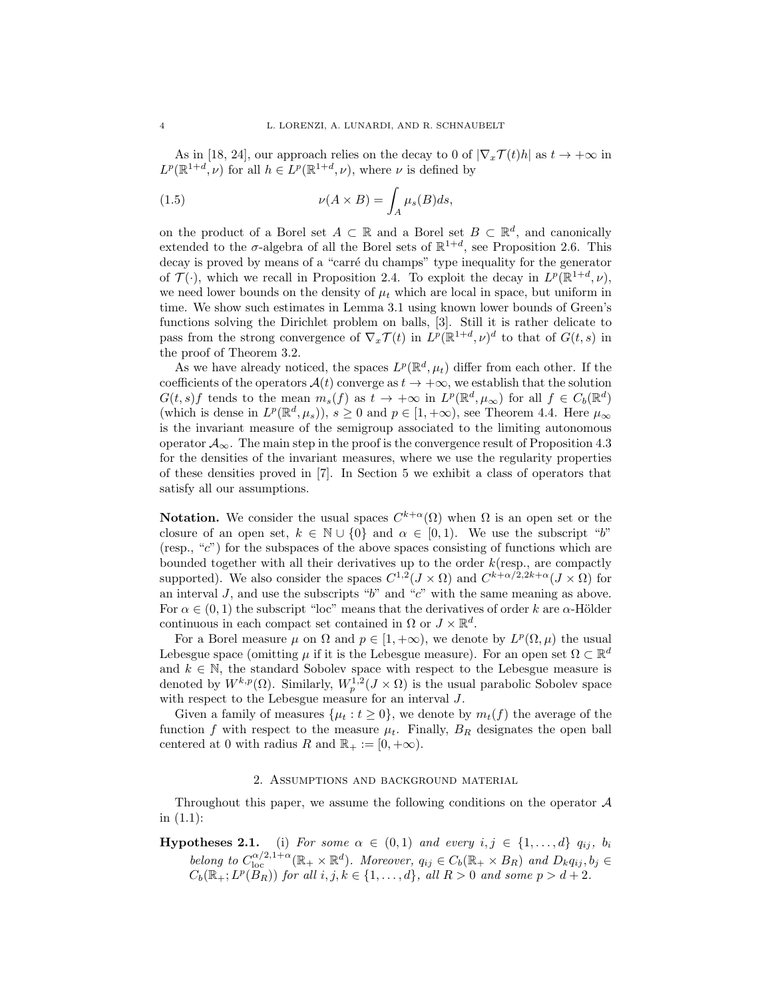As in [18, 24], our approach relies on the decay to 0 of  $|\nabla_x \mathcal{T}(t)h|$  as  $t \to +\infty$  in  $L^p(\mathbb{R}^{1+d}, \nu)$  for all  $h \in L^p(\mathbb{R}^{1+d}, \nu)$ , where  $\nu$  is defined by

(1.5) 
$$
\nu(A \times B) = \int_A \mu_s(B)ds,
$$

on the product of a Borel set  $A \subset \mathbb{R}$  and a Borel set  $B \subset \mathbb{R}^d$ , and canonically extended to the  $\sigma$ -algebra of all the Borel sets of  $\mathbb{R}^{1+d}$ , see Proposition 2.6. This decay is proved by means of a "carré du champs" type inequality for the generator of  $\mathcal{T}(\cdot)$ , which we recall in Proposition 2.4. To exploit the decay in  $L^p(\mathbb{R}^{1+d}, \nu)$ , we need lower bounds on the density of  $\mu_t$  which are local in space, but uniform in time. We show such estimates in Lemma 3.1 using known lower bounds of Green's functions solving the Dirichlet problem on balls, [3]. Still it is rather delicate to pass from the strong convergence of  $\nabla_x \mathcal{T}(t)$  in  $L^p(\mathbb{R}^{1+d}, \nu)^d$  to that of  $G(t, s)$  in the proof of Theorem 3.2.

As we have already noticed, the spaces  $L^p(\mathbb{R}^d, \mu_t)$  differ from each other. If the coefficients of the operators  $\mathcal{A}(t)$  converge as  $t \to +\infty$ , we establish that the solution  $G(t, s)f$  tends to the mean  $m_s(f)$  as  $t \to +\infty$  in  $L^p(\mathbb{R}^d, \mu_\infty)$  for all  $f \in C_b(\mathbb{R}^d)$ (which is dense in  $L^p(\mathbb{R}^d, \mu_s)$ ),  $s \geq 0$  and  $p \in [1, +\infty)$ , see Theorem 4.4. Here  $\mu_\infty$ is the invariant measure of the semigroup associated to the limiting autonomous operator  $\mathcal{A}_{\infty}$ . The main step in the proof is the convergence result of Proposition 4.3 for the densities of the invariant measures, where we use the regularity properties of these densities proved in [7]. In Section 5 we exhibit a class of operators that satisfy all our assumptions.

**Notation.** We consider the usual spaces  $C^{k+\alpha}(\Omega)$  when  $\Omega$  is an open set or the closure of an open set,  $k \in \mathbb{N} \cup \{0\}$  and  $\alpha \in [0,1)$ . We use the subscript "b" (resp., "c") for the subspaces of the above spaces consisting of functions which are bounded together with all their derivatives up to the order  $k$  (resp., are compactly supported). We also consider the spaces  $C^{1,2}(J \times \Omega)$  and  $C^{k+\alpha/2,2k+\alpha}(J \times \Omega)$  for an interval  $J$ , and use the subscripts "b" and "c" with the same meaning as above. For  $\alpha \in (0,1)$  the subscript "loc" means that the derivatives of order k are  $\alpha$ -Hölder continuous in each compact set contained in  $\Omega$  or  $J \times \mathbb{R}^d$ .

For a Borel measure  $\mu$  on  $\Omega$  and  $p \in [1, +\infty)$ , we denote by  $L^p(\Omega, \mu)$  the usual Lebesgue space (omitting  $\mu$  if it is the Lebesgue measure). For an open set  $\Omega \subset \mathbb{R}^d$ and  $k \in \mathbb{N}$ , the standard Sobolev space with respect to the Lebesgue measure is denoted by  $W^{k,p}(\Omega)$ . Similarly,  $W^{1,2}_p(J \times \Omega)$  is the usual parabolic Sobolev space with respect to the Lebesgue measure for an interval J.

Given a family of measures  $\{\mu_t : t \geq 0\}$ , we denote by  $m_t(f)$  the average of the function f with respect to the measure  $\mu_t$ . Finally,  $B_R$  designates the open ball centered at 0 with radius R and  $\mathbb{R}_+ := [0, +\infty)$ .

### 2. Assumptions and background material

Throughout this paper, we assume the following conditions on the operator A in (1.1):

**Hypotheses 2.1.** (i) For some  $\alpha \in (0,1)$  and every  $i, j \in \{1, ..., d\}$   $q_{ij}, b_i$ belong to  $C_{\text{loc}}^{\alpha/2,1+\alpha}(\mathbb{R}_+\times\mathbb{R}^d)$ . Moreover,  $q_{ij}\in C_b(\mathbb{R}_+\times B_R)$  and  $D_kq_{ij},b_j\in$  $C_b(\mathbb{R}_+; L^p(B_R))$  for all  $i, j, k \in \{1, \ldots, d\}$ , all  $R > 0$  and some  $p > d + 2$ .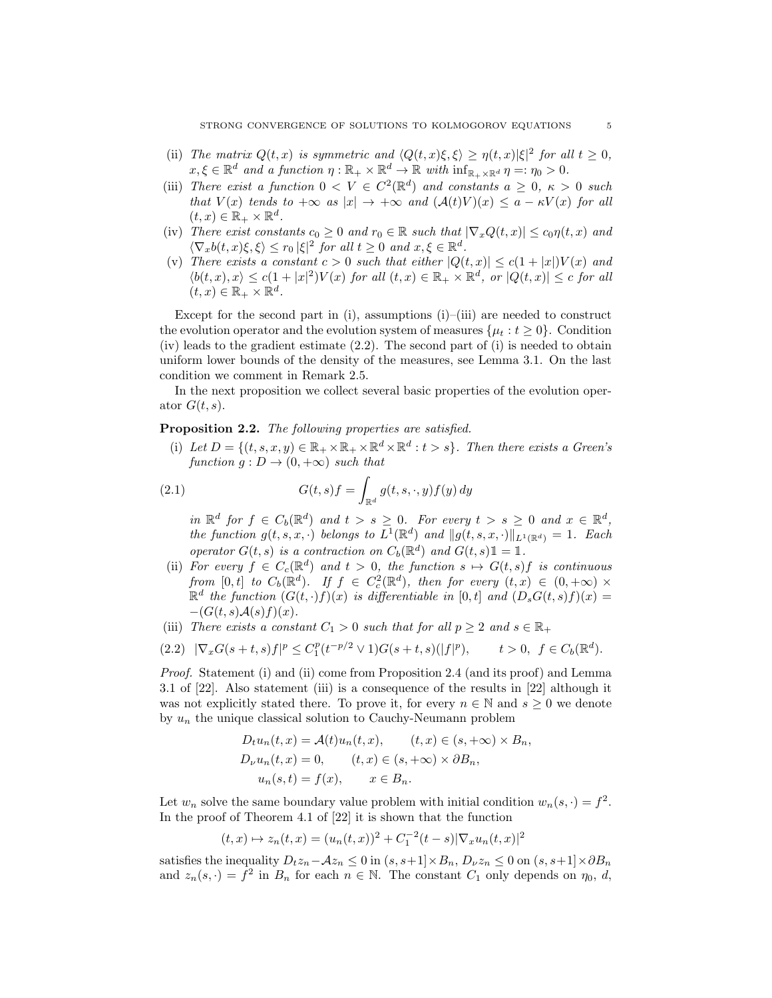- (ii) The matrix  $Q(t, x)$  is symmetric and  $\langle Q(t, x) \xi, \xi \rangle \ge \eta(t, x) |\xi|^2$  for all  $t \ge 0$ ,  $x, \xi \in \mathbb{R}^d$  and a function  $\eta : \mathbb{R}_+ \times \mathbb{R}^d \to \mathbb{R}$  with  $\inf_{\mathbb{R}_+ \times \mathbb{R}^d} \eta =: \eta_0 > 0$ .
- (iii) There exist a function  $0 \lt V \in C^2(\mathbb{R}^d)$  and constants  $a \geq 0$ ,  $\kappa > 0$  such that  $V(x)$  tends to  $+\infty$  as  $|x| \to +\infty$  and  $(A(t)V)(x) \le a - \kappa V(x)$  for all  $(t, x) \in \mathbb{R}_+ \times \mathbb{R}^d$ .
- (iv) There exist constants  $c_0 \geq 0$  and  $r_0 \in \mathbb{R}$  such that  $|\nabla_x Q(t,x)| \leq c_0 \eta(t,x)$  and  $\langle \nabla_x b(t, x) \xi, \xi \rangle \leq r_0 |\xi|^2$  for all  $t \geq 0$  and  $x, \xi \in \mathbb{R}^d$ .
- (v) There exists a constant  $c > 0$  such that either  $|Q(t,x)| \leq c(1+|x|)V(x)$  and  $\langle b(t,x),x\rangle \leq c(1+|x|^2)V(x)$  for all  $(t,x) \in \mathbb{R}_+ \times \mathbb{R}^d$ , or  $|Q(t,x)| \leq c$  for all  $(t,x)\in\mathbb{R}_+\times\mathbb{R}^d$ .

Except for the second part in (i), assumptions (i)–(iii) are needed to construct the evolution operator and the evolution system of measures  $\{\mu_t : t \geq 0\}$ . Condition (iv) leads to the gradient estimate (2.2). The second part of (i) is needed to obtain uniform lower bounds of the density of the measures, see Lemma 3.1. On the last condition we comment in Remark 2.5.

In the next proposition we collect several basic properties of the evolution operator  $G(t, s)$ .

### Proposition 2.2. The following properties are satisfied.

(i) Let  $D = \{(t, s, x, y) \in \mathbb{R}_+ \times \mathbb{R}_+ \times \mathbb{R}^d \times \mathbb{R}^d : t > s\}$ . Then there exists a Green's function  $q: D \to (0, +\infty)$  such that

(2.1) 
$$
G(t,s)f = \int_{\mathbb{R}^d} g(t,s,\cdot,y)f(y) dy
$$

in  $\mathbb{R}^d$  for  $f \in C_b(\mathbb{R}^d)$  and  $t > s \geq 0$ . For every  $t > s \geq 0$  and  $x \in \mathbb{R}^d$ , the function  $g(t, s, x, \cdot)$  belongs to  $L^1(\mathbb{R}^d)$  and  $||g(t, s, x, \cdot)||_{L^1(\mathbb{R}^d)} = 1$ . Each operator  $G(t, s)$  is a contraction on  $C_b(\mathbb{R}^d)$  and  $G(t, s)1 = 1$ .

- (ii) For every  $f \in C_c(\mathbb{R}^d)$  and  $t > 0$ , the function  $s \mapsto G(t, s)f$  is continuous from  $[0,t]$  to  $C_b(\mathbb{R}^d)$ . If  $f \in C_c^2(\mathbb{R}^d)$ , then for every  $(t,x) \in (0,+\infty) \times$  $\mathbb{R}^d$  the function  $(G(t, \cdot)f)(x)$  is differentiable in [0,t] and  $(D_sG(t, s)f)(x) =$  $-(G(t, s)A(s) f)(x)$ .
- (iii) There exists a constant  $C_1 > 0$  such that for all  $p \ge 2$  and  $s \in \mathbb{R}_+$

$$
(2.2) \quad |\nabla_x G(s+t,s)f|^p \le C_1^p (t^{-p/2} \vee 1) G(s+t,s)(|f|^p), \qquad t > 0, \ \ f \in C_b(\mathbb{R}^d).
$$

Proof. Statement (i) and (ii) come from Proposition 2.4 (and its proof) and Lemma 3.1 of [22]. Also statement (iii) is a consequence of the results in [22] although it was not explicitly stated there. To prove it, for every  $n \in \mathbb{N}$  and  $s \geq 0$  we denote by  $u_n$  the unique classical solution to Cauchy-Neumann problem

$$
D_t u_n(t, x) = \mathcal{A}(t)u_n(t, x), \qquad (t, x) \in (s, +\infty) \times B_n,
$$
  
\n
$$
D_\nu u_n(t, x) = 0, \qquad (t, x) \in (s, +\infty) \times \partial B_n,
$$
  
\n
$$
u_n(s, t) = f(x), \qquad x \in B_n.
$$

Let  $w_n$  solve the same boundary value problem with initial condition  $w_n(s, \cdot) = f^2$ . In the proof of Theorem 4.1 of [22] it is shown that the function

$$
(t,x) \mapsto z_n(t,x) = (u_n(t,x))^2 + C_1^{-2}(t-s)|\nabla_x u_n(t,x)|^2
$$

satisfies the inequality  $D_t z_n-\mathcal{A}z_n \leq 0$  in  $(s, s+1] \times B_n$ ,  $D_{\nu} z_n \leq 0$  on  $(s, s+1] \times \partial B_n$ and  $z_n(s, \cdot) = f^2$  in  $B_n$  for each  $n \in \mathbb{N}$ . The constant  $C_1$  only depends on  $\eta_0, d$ ,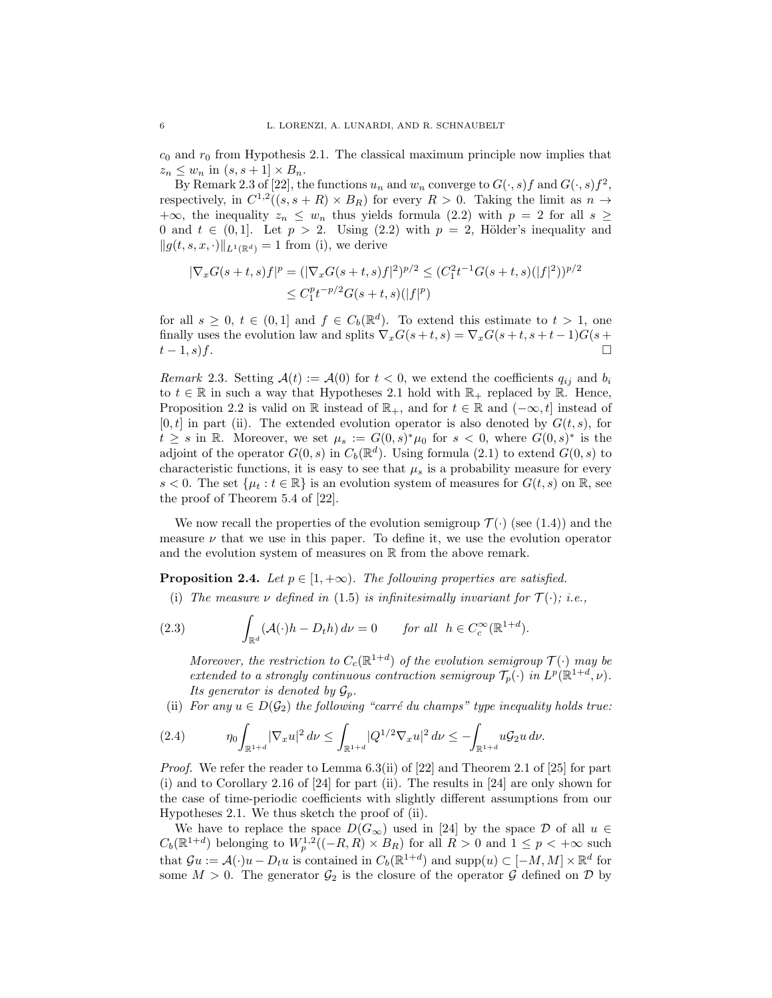$c_0$  and  $r_0$  from Hypothesis 2.1. The classical maximum principle now implies that  $z_n \leq w_n$  in  $(s, s+1] \times B_n$ .

By Remark 2.3 of [22], the functions  $u_n$  and  $w_n$  converge to  $G(\cdot, s)f$  and  $G(\cdot, s)f^2$ , respectively, in  $C^{1,2}((s,s + R) \times B_R)$  for every  $R > 0$ . Taking the limit as  $n \to$  $+\infty$ , the inequality  $z_n \leq w_n$  thus yields formula (2.2) with  $p = 2$  for all  $s \geq$ 0 and  $t \in (0,1]$ . Let  $p > 2$ . Using (2.2) with  $p = 2$ , Hölder's inequality and  $||g(t, s, x, \cdot)||_{L^{1}(\mathbb{R}^{d})} = 1$  from (i), we derive

$$
|\nabla_x G(s+t,s)f|^p = (|\nabla_x G(s+t,s)f|^2)^{p/2} \le (C_1^2 t^{-1} G(s+t,s)(|f|^2))^{p/2}
$$
  

$$
\le C_1^p t^{-p/2} G(s+t,s)(|f|^p)
$$

for all  $s \geq 0$ ,  $t \in (0,1]$  and  $f \in C_b(\mathbb{R}^d)$ . To extend this estimate to  $t > 1$ , one finally uses the evolution law and splits  $\nabla_x G(s+t,s) = \nabla_x G(s+t,s+t-1)G(s+t,s)$  $t-1, s$ f.

Remark 2.3. Setting  $\mathcal{A}(t) := \mathcal{A}(0)$  for  $t < 0$ , we extend the coefficients  $q_{ij}$  and  $b_i$ to  $t \in \mathbb{R}$  in such a way that Hypotheses 2.1 hold with  $\mathbb{R}_+$  replaced by  $\mathbb{R}$ . Hence, Proposition 2.2 is valid on R instead of  $\mathbb{R}_+$ , and for  $t \in \mathbb{R}$  and  $(-\infty, t]$  instead of  $[0, t]$  in part (ii). The extended evolution operator is also denoted by  $G(t, s)$ , for  $t \geq s$  in R. Moreover, we set  $\mu_s := G(0, s)^* \mu_0$  for  $s < 0$ , where  $G(0, s)^*$  is the adjoint of the operator  $G(0, s)$  in  $C_b(\mathbb{R}^d)$ . Using formula (2.1) to extend  $G(0, s)$  to characteristic functions, it is easy to see that  $\mu_s$  is a probability measure for every s < 0. The set  $\{\mu_t : t \in \mathbb{R}\}\$ is an evolution system of measures for  $G(t, s)$  on  $\mathbb{R}$ , see the proof of Theorem 5.4 of [22].

We now recall the properties of the evolution semigroup  $\mathcal{T}(\cdot)$  (see (1.4)) and the measure  $\nu$  that we use in this paper. To define it, we use the evolution operator and the evolution system of measures on  $\mathbb R$  from the above remark.

**Proposition 2.4.** Let  $p \in [1, +\infty)$ . The following properties are satisfied.

(i) The measure  $\nu$  defined in (1.5) is infinitesimally invariant for  $\mathcal{T}(\cdot); i.e.,$ 

(2.3) 
$$
\int_{\mathbb{R}^d} (\mathcal{A}(\cdot)h - D_t h) d\nu = 0 \quad \text{for all } h \in C_c^{\infty}(\mathbb{R}^{1+d}).
$$

Moreover, the restriction to  $C_c(\mathbb{R}^{1+d})$  of the evolution semigroup  $\mathcal{T}(\cdot)$  may be extended to a strongly continuous contraction semigroup  $\mathcal{T}_p(\cdot)$  in  $L^p(\mathbb{R}^{1+d}, \nu)$ . Its generator is denoted by  $\mathcal{G}_n$ .

(ii) For any  $u \in D(\mathcal{G}_2)$  the following "carré du champs" type inequality holds true:

$$
(2.4) \t \eta_0 \int_{\mathbb{R}^{1+d}} |\nabla_x u|^2 \, d\nu \le \int_{\mathbb{R}^{1+d}} |Q^{1/2} \nabla_x u|^2 \, d\nu \le -\int_{\mathbb{R}^{1+d}} u \mathcal{G}_2 u \, d\nu.
$$

*Proof.* We refer the reader to Lemma  $6.3(ii)$  of [22] and Theorem 2.1 of [25] for part (i) and to Corollary 2.16 of [24] for part (ii). The results in [24] are only shown for the case of time-periodic coefficients with slightly different assumptions from our Hypotheses 2.1. We thus sketch the proof of (ii).

We have to replace the space  $D(G_{\infty})$  used in [24] by the space D of all  $u \in$  $C_b(\mathbb{R}^{1+d})$  belonging to  $W_p^{1,2}((-R,R) \times B_R)$  for all  $R > 0$  and  $1 \leq p < +\infty$  such that  $\mathcal{G}u := \mathcal{A}(\cdot)u - D_t u$  is contained in  $C_b(\mathbb{R}^{1+d})$  and  $\text{supp}(u) \subset [-M, M] \times \mathbb{R}^d$  for some  $M > 0$ . The generator  $\mathcal{G}_2$  is the closure of the operator  $\mathcal G$  defined on  $\mathcal D$  by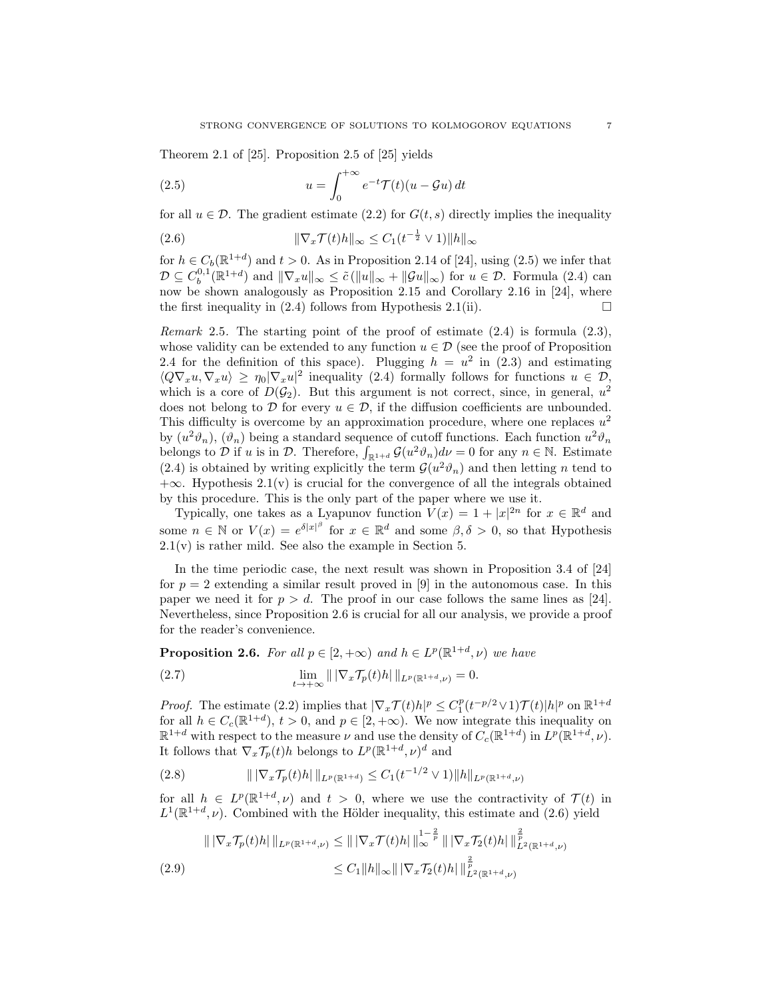Theorem 2.1 of [25]. Proposition 2.5 of [25] yields

(2.5) 
$$
u = \int_0^{+\infty} e^{-t} \mathcal{T}(t) (u - \mathcal{G}u) dt
$$

for all  $u \in \mathcal{D}$ . The gradient estimate (2.2) for  $G(t, s)$  directly implies the inequality

$$
(2.6) \t\t\t \|\nabla_x \mathcal{T}(t)h\|_{\infty} \le C_1(t^{-\frac{1}{2}} \vee 1) \|h\|_{\infty}
$$

for  $h \in C_b(\mathbb{R}^{1+d})$  and  $t > 0$ . As in Proposition 2.14 of [24], using (2.5) we infer that  $\mathcal{D} \subseteq C_b^{0,1}(\mathbb{R}^{1+d})$  and  $\|\nabla_x u\|_{\infty} \leq \tilde{c}(\|u\|_{\infty} + \|\mathcal{G}u\|_{\infty})$  for  $u \in \mathcal{D}$ . Formula (2.4) can now be shown analogously as Proposition 2.15 and Corollary 2.16 in [24], where the first inequality in (2.4) follows from Hypothesis 2.1(ii).  $\Box$ 

*Remark* 2.5. The starting point of the proof of estimate  $(2.4)$  is formula  $(2.3)$ , whose validity can be extended to any function  $u \in \mathcal{D}$  (see the proof of Proposition 2.4 for the definition of this space). Plugging  $h = u^2$  in (2.3) and estimating  $\langle Q\nabla_x u, \nabla_x u \rangle \ge \eta_0 |\nabla_x u|^2$  inequality (2.4) formally follows for functions  $u \in \mathcal{D}$ , which is a core of  $D(\mathcal{G}_2)$ . But this argument is not correct, since, in general,  $u^2$ does not belong to D for every  $u \in \mathcal{D}$ , if the diffusion coefficients are unbounded. This difficulty is overcome by an approximation procedure, where one replaces  $u^2$ by  $(u^2\vartheta_n)$ ,  $(\vartheta_n)$  being a standard sequence of cutoff functions. Each function  $u^2\vartheta_n$ belongs to  $\mathcal D$  if u is in  $\mathcal D$ . Therefore,  $\int_{\mathbb{R}^{1+d}} \mathcal G(u^2\vartheta_n)d\nu=0$  for any  $n\in\mathbb{N}$ . Estimate (2.4) is obtained by writing explicitly the term  $\mathcal{G}(u^2\vartheta_n)$  and then letting n tend to  $+\infty$ . Hypothesis 2.1(v) is crucial for the convergence of all the integrals obtained by this procedure. This is the only part of the paper where we use it.

Typically, one takes as a Lyapunov function  $V(x) = 1 + |x|^{2n}$  for  $x \in \mathbb{R}^d$  and some  $n \in \mathbb{N}$  or  $V(x) = e^{\delta |x|^\beta}$  for  $x \in \mathbb{R}^d$  and some  $\beta, \delta > 0$ , so that Hypothesis  $2.1(v)$  is rather mild. See also the example in Section 5.

In the time periodic case, the next result was shown in Proposition 3.4 of [24] for  $p = 2$  extending a similar result proved in [9] in the autonomous case. In this paper we need it for  $p > d$ . The proof in our case follows the same lines as [24]. Nevertheless, since Proposition 2.6 is crucial for all our analysis, we provide a proof for the reader's convenience.

**Proposition 2.6.** For all  $p \in [2, +\infty)$  and  $h \in L^p(\mathbb{R}^{1+d}, \nu)$  we have

(2.7) 
$$
\lim_{t \to +\infty} \| |\nabla_x \mathcal{T}_p(t) h| \|_{L^p(\mathbb{R}^{1+d}, \nu)} = 0.
$$

*Proof.* The estimate (2.2) implies that  $|\nabla_x \mathcal{T}(t)h|^p \leq C_1^p(t^{-p/2} \vee 1)\mathcal{T}(t)|h|^p$  on  $\mathbb{R}^{1+d}$ for all  $h \in C_c(\mathbb{R}^{1+d}), t > 0$ , and  $p \in [2, +\infty)$ . We now integrate this inequality on  $\mathbb{R}^{1+d}$  with respect to the measure  $\nu$  and use the density of  $C_c(\mathbb{R}^{1+d})$  in  $L^p(\mathbb{R}^{1+d}, \nu)$ . It follows that  $\nabla_x \mathcal{T}_p(t)h$  belongs to  $L^p(\mathbb{R}^{1+d}, \nu)^d$  and

$$
(2.8) \t\t |||\nabla_x \mathcal{T}_p(t)h|\|_{L^p(\mathbb{R}^{1+d})} \leq C_1(t^{-1/2} \vee 1) \|h\|_{L^p(\mathbb{R}^{1+d},\nu)}
$$

for all  $h \in L^p(\mathbb{R}^{1+d}, \nu)$  and  $t > 0$ , where we use the contractivity of  $\mathcal{T}(t)$  in  $L^1(\mathbb{R}^{1+d}, \nu)$ . Combined with the Hölder inequality, this estimate and (2.6) yield

$$
\| |\nabla_x \mathcal{T}_p(t)h| \|_{L^p(\mathbb{R}^{1+d}, \nu)} \leq \| |\nabla_x \mathcal{T}(t)h| \|_{\infty}^{1-\frac{2}{p}} \| |\nabla_x \mathcal{T}_2(t)h| \|_{L^2(\mathbb{R}^{1+d}, \nu)}^{\frac{2}{p}} \n\leq C_1 \|h\|_{\infty} \| |\nabla_x \mathcal{T}_2(t)h| \|_{L^2(\mathbb{R}^{1+d}, \nu)}^{\frac{2}{p}}.
$$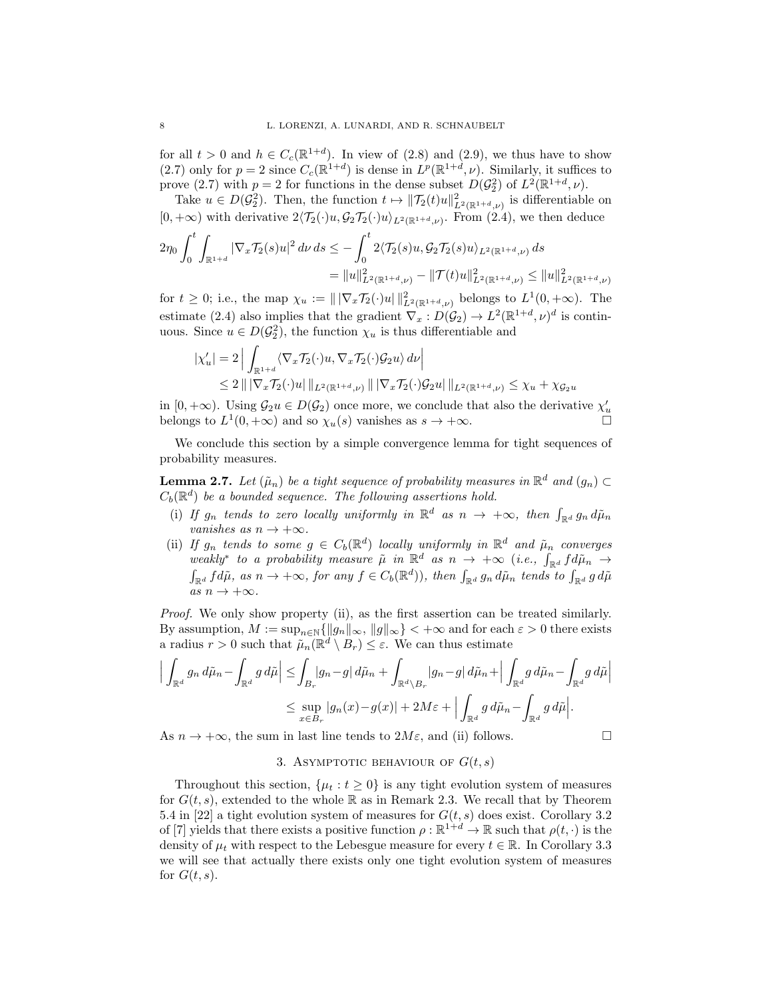for all  $t > 0$  and  $h \in C_c(\mathbb{R}^{1+d})$ . In view of  $(2.8)$  and  $(2.9)$ , we thus have to show (2.7) only for  $p = 2$  since  $C_c(\mathbb{R}^{1+d})$  is dense in  $L^p(\mathbb{R}^{1+d}, \nu)$ . Similarly, it suffices to prove (2.7) with  $p = 2$  for functions in the dense subset  $D(\mathcal{G}_2^2)$  of  $L^2(\mathbb{R}^{1+d}, \nu)$ .

Take  $u \in D(\mathcal{G}_2^2)$ . Then, the function  $t \mapsto ||\mathcal{T}_2(t)u||^2_{L^2(\mathbb{R}^{1+d}, \nu)}$  is differentiable on  $[0, +\infty)$  with derivative  $2\langle \mathcal{T}_2(\cdot)u, \mathcal{G}_2\mathcal{T}_2(\cdot)u \rangle_{L^2(\mathbb{R}^{1+d}, \nu)}$ . From (2.4), we then deduce

$$
2\eta_0 \int_0^t \int_{\mathbb{R}^{1+d}} |\nabla_x \mathcal{T}_2(s)u|^2 d\nu ds \leq -\int_0^t 2\langle \mathcal{T}_2(s)u, \mathcal{G}_2 \mathcal{T}_2(s)u \rangle_{L^2(\mathbb{R}^{1+d}, \nu)} ds
$$
  
=  $||u||^2_{L^2(\mathbb{R}^{1+d}, \nu)} - ||\mathcal{T}(t)u||^2_{L^2(\mathbb{R}^{1+d}, \nu)} \leq ||u||^2_{L^2(\mathbb{R}^{1+d}, \nu)}$ 

for  $t \geq 0$ ; i.e., the map  $\chi_u := ||\nabla_x \mathcal{T}_2(\cdot)u||_{L^2(\mathbb{R}^{1+d}, \nu)}^2$  belongs to  $L^1(0, +\infty)$ . The estimate (2.4) also implies that the gradient  $\nabla_x : D(\mathcal{G}_2) \to L^2(\mathbb{R}^{1+d}, \nu)^d$  is continuous. Since  $u \in D(\mathcal{G}_2^2)$ , the function  $\chi_u$  is thus differentiable and

$$
\begin{aligned} |\chi'_u| &= 2 \left| \int_{\mathbb{R}^{1+d}} \langle \nabla_x \mathcal{T}_2(\cdot)u, \nabla_x \mathcal{T}_2(\cdot) \mathcal{G}_2 u \rangle \, d\nu \right| \\ &\le 2 \left\| \left| \nabla_x \mathcal{T}_2(\cdot)u \right| \left\|_{L^2(\mathbb{R}^{1+d}, \nu)} \right\| \left| \nabla_x \mathcal{T}_2(\cdot) \mathcal{G}_2 u \right| \left\|_{L^2(\mathbb{R}^{1+d}, \nu)} \le \chi_u + \chi_{\mathcal{G}_2 u} \right| \end{aligned}
$$

in  $[0, +\infty)$ . Using  $\mathcal{G}_2u \in D(\mathcal{G}_2)$  once more, we conclude that also the derivative  $\chi'_u$ belongs to  $L^1(0, +\infty)$  and so  $\chi_u(s)$  vanishes as  $s \to +\infty$ .

We conclude this section by a simple convergence lemma for tight sequences of probability measures.

**Lemma 2.7.** Let  $(\tilde{\mu}_n)$  be a tight sequence of probability measures in  $\mathbb{R}^d$  and  $(g_n) \subset$  $C_b(\mathbb{R}^d)$  be a bounded sequence. The following assertions hold.

- (i) If  $g_n$  tends to zero locally uniformly in  $\mathbb{R}^d$  as  $n \to +\infty$ , then  $\int_{\mathbb{R}^d} g_n d\tilde{\mu}_n$ vanishes as  $n \to +\infty$ .
- (ii) If  $g_n$  tends to some  $g \in C_b(\mathbb{R}^d)$  locally uniformly in  $\mathbb{R}^d$  and  $\tilde{\mu}_n$  converges weakly<sup>\*</sup> to a probability measure  $\tilde{\mu}$  in  $\mathbb{R}^d$  as  $n \to +\infty$  (i.e.,  $\int_{\mathbb{R}^d} f d\tilde{\mu}_n \to$  $\int_{\mathbb{R}^d} f d\tilde{\mu}$ , as  $n \to +\infty$ , for any  $f \in C_b(\mathbb{R}^d)$ , then  $\int_{\mathbb{R}^d} g_n d\tilde{\mu}$  tends to  $\int_{\mathbb{R}^d} g d\tilde{\mu}$ as  $n \to +\infty$ .

Proof. We only show property (ii), as the first assertion can be treated similarly. By assumption,  $M := \sup_{n \in \mathbb{N}} \{ ||g_n||_{\infty}, ||g||_{\infty} \} < +\infty$  and for each  $\varepsilon > 0$  there exists a radius  $r > 0$  such that  $\tilde{\mu}_n(\mathbb{R}^d \setminus B_r) \leq \varepsilon$ . We can thus estimate

$$
\Big| \int_{\mathbb{R}^d} g_n d\tilde{\mu}_n - \int_{\mathbb{R}^d} g d\tilde{\mu} \Big| \leq \int_{B_r} |g_n - g| d\tilde{\mu}_n + \int_{\mathbb{R}^d \setminus B_r} |g_n - g| d\tilde{\mu}_n + \Big| \int_{\mathbb{R}^d} g d\tilde{\mu}_n - \int_{\mathbb{R}^d} g d\tilde{\mu} \Big|
$$
  

$$
\leq \sup_{x \in B_r} |g_n(x) - g(x)| + 2M\varepsilon + \Big| \int_{\mathbb{R}^d} g d\tilde{\mu}_n - \int_{\mathbb{R}^d} g d\tilde{\mu} \Big|.
$$

As  $n \to +\infty$ , the sum in last line tends to  $2M\varepsilon$ , and (ii) follows.

$$
\qquad \qquad \Box
$$

## 3. ASYMPTOTIC BEHAVIOUR OF  $G(t, s)$

Throughout this section,  $\{\mu_t : t \geq 0\}$  is any tight evolution system of measures for  $G(t, s)$ , extended to the whole R as in Remark 2.3. We recall that by Theorem 5.4 in [22] a tight evolution system of measures for  $G(t, s)$  does exist. Corollary 3.2 of [7] yields that there exists a positive function  $\rho : \mathbb{R}^{1+d} \to \mathbb{R}$  such that  $\rho(t, \cdot)$  is the density of  $\mu_t$  with respect to the Lebesgue measure for every  $t \in \mathbb{R}$ . In Corollary 3.3 we will see that actually there exists only one tight evolution system of measures for  $G(t, s)$ .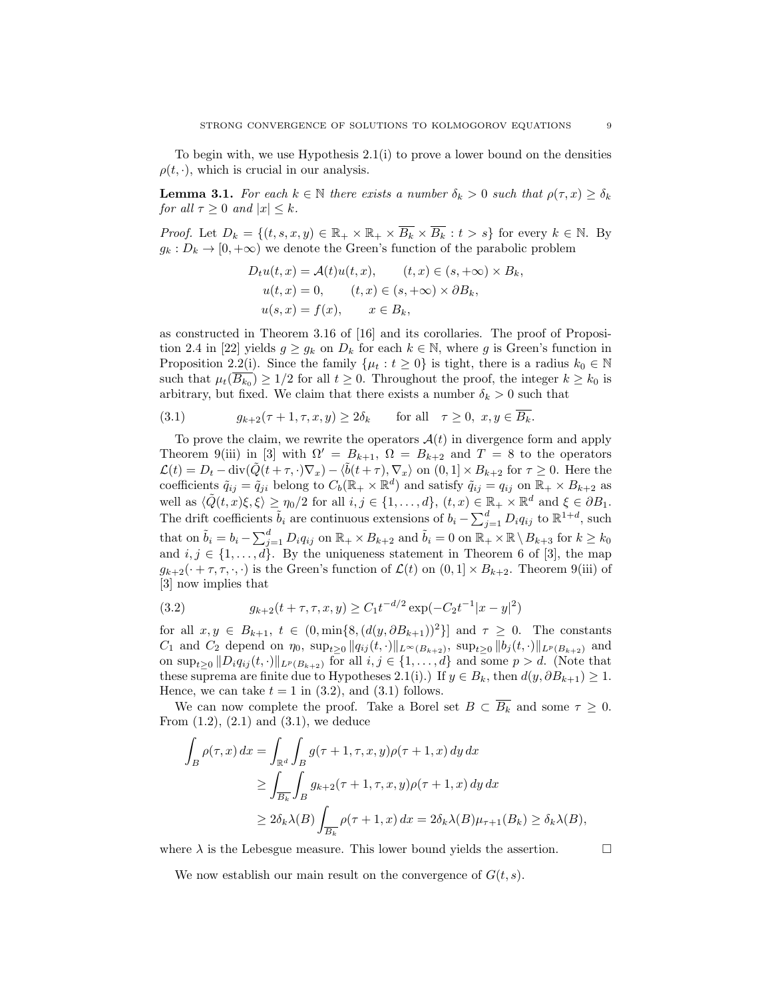To begin with, we use Hypothesis  $2.1(i)$  to prove a lower bound on the densities  $\rho(t, \cdot)$ , which is crucial in our analysis.

**Lemma 3.1.** For each  $k \in \mathbb{N}$  there exists a number  $\delta_k > 0$  such that  $\rho(\tau, x) \geq \delta_k$ for all  $\tau \geq 0$  and  $|x| \leq k$ .

*Proof.* Let  $D_k = \{(t, s, x, y) \in \mathbb{R}_+ \times \mathbb{R}_+ \times \overline{B_k} \times \overline{B_k} : t > s\}$  for every  $k \in \mathbb{N}$ . By  $g_k: D_k \to [0, +\infty)$  we denote the Green's function of the parabolic problem

$$
D_t u(t, x) = \mathcal{A}(t) u(t, x), \qquad (t, x) \in (s, +\infty) \times B_k,
$$
  

$$
u(t, x) = 0, \qquad (t, x) \in (s, +\infty) \times \partial B_k,
$$
  

$$
u(s, x) = f(x), \qquad x \in B_k,
$$

as constructed in Theorem 3.16 of [16] and its corollaries. The proof of Proposition 2.4 in [22] yields  $g \geq g_k$  on  $D_k$  for each  $k \in \mathbb{N}$ , where g is Green's function in Proposition 2.2(i). Since the family  $\{\mu_t : t \geq 0\}$  is tight, there is a radius  $k_0 \in \mathbb{N}$ such that  $\mu_t(B_{k_0}) \geq 1/2$  for all  $t \geq 0$ . Throughout the proof, the integer  $k \geq k_0$  is arbitrary, but fixed. We claim that there exists a number  $\delta_k > 0$  such that

(3.1) 
$$
g_{k+2}(\tau+1, \tau, x, y) \ge 2\delta_k \quad \text{for all} \quad \tau \ge 0, \ x, y \in \overline{B_k}.
$$

To prove the claim, we rewrite the operators  $\mathcal{A}(t)$  in divergence form and apply Theorem 9(iii) in [3] with  $\Omega' = B_{k+1}$ ,  $\Omega = B_{k+2}$  and  $T = 8$  to the operators  $\mathcal{L}(t) = D_t - \text{div}(\tilde{Q}(t+\tau, \cdot) \nabla_x) - \langle \tilde{b}(t+\tau), \nabla_x \rangle$  on  $(0, 1] \times B_{k+2}$  for  $\tau \geq 0$ . Here the coefficients  $\tilde{q}_{ij} = \tilde{q}_{ji}$  belong to  $C_b(\mathbb{R}_+ \times \mathbb{R}^d)$  and satisfy  $\tilde{q}_{ij} = q_{ij}$  on  $\mathbb{R}_+ \times B_{k+2}$  as well as  $\langle \tilde{Q}(t, x)\xi, \xi \rangle \ge \eta_0/2$  for all  $i, j \in \{1, ..., d\}, (t, x) \in \mathbb{R}_+ \times \mathbb{R}^d$  and  $\xi \in \partial B_1$ . The drift coefficients  $\tilde{b}_i$  are continuous extensions of  $b_i - \sum_{j=1}^d D_i q_{ij}$  to  $\mathbb{R}^{1+d}$ , such that on  $\tilde{b}_i = b_i - \sum_{j=1}^d D_i q_{ij}$  on  $\mathbb{R}_+ \times B_{k+2}$  and  $\tilde{b}_i = 0$  on  $\mathbb{R}_+ \times \mathbb{R} \setminus B_{k+3}$  for  $k \geq k_0$ and  $i, j \in \{1, \ldots, d\}$ . By the uniqueness statement in Theorem 6 of [3], the map  $g_{k+2}(\cdot + \tau, \tau, \cdot, \cdot)$  is the Green's function of  $\mathcal{L}(t)$  on  $(0, 1] \times B_{k+2}$ . Theorem 9(iii) of [3] now implies that

(3.2) 
$$
g_{k+2}(t+\tau,\tau,x,y) \ge C_1 t^{-d/2} \exp(-C_2 t^{-1}|x-y|^2)
$$

for all  $x, y \in B_{k+1}, t \in (0, \min\{8, (d(y, \partial B_{k+1}))^2\}]$  and  $\tau \geq 0$ . The constants  $C_1$  and  $C_2$  depend on  $\eta_0$ ,  $\sup_{t\geq 0} ||q_{ij}(t, \cdot)||_{L^{\infty}(B_{k+2})}$ ,  $\sup_{t\geq 0} ||b_j(t, \cdot)||_{L^p(B_{k+2})}$  and on  $\sup_{t\geq 0} ||D_i q_{ij}(t, \cdot)||_{L^p(B_{k+2})}$  for all  $i, j \in \{1, ..., d\}$  and some  $p > d$ . (Note that these suprema are finite due to Hypotheses 2.1(i).) If  $y \in B_k$ , then  $d(y, \partial B_{k+1}) \geq 1$ . Hence, we can take  $t = 1$  in (3.2), and (3.1) follows.

We can now complete the proof. Take a Borel set  $B \subset \overline{B_k}$  and some  $\tau \geq 0$ . From  $(1.2)$ ,  $(2.1)$  and  $(3.1)$ , we deduce

$$
\int_{B} \rho(\tau, x) dx = \int_{\mathbb{R}^d} \int_{B} g(\tau + 1, \tau, x, y) \rho(\tau + 1, x) dy dx
$$
  
\n
$$
\geq \int_{\overline{B_k}} \int_{B} g_{k+2}(\tau + 1, \tau, x, y) \rho(\tau + 1, x) dy dx
$$
  
\n
$$
\geq 2\delta_k \lambda(B) \int_{\overline{B_k}} \rho(\tau + 1, x) dx = 2\delta_k \lambda(B) \mu_{\tau+1}(B_k) \geq \delta_k \lambda(B),
$$

where  $\lambda$  is the Lebesgue measure. This lower bound yields the assertion.  $\Box$ 

We now establish our main result on the convergence of  $G(t, s)$ .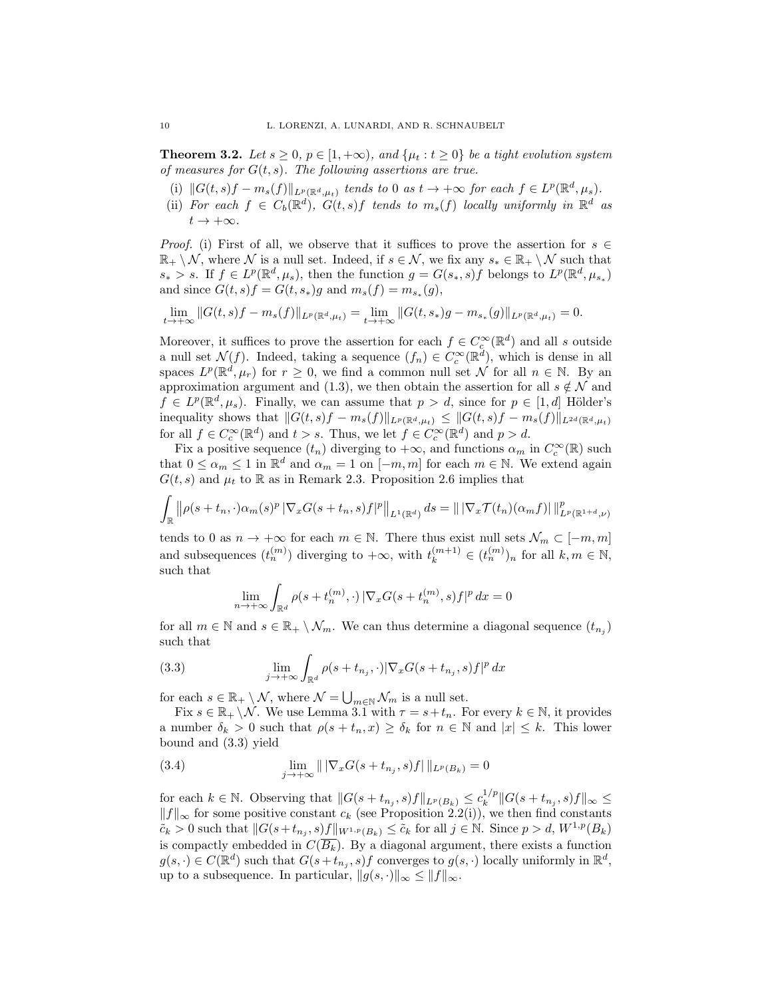**Theorem 3.2.** Let  $s \geq 0$ ,  $p \in [1, +\infty)$ , and  $\{\mu_t : t \geq 0\}$  be a tight evolution system of measures for  $G(t, s)$ . The following assertions are true.

- (i)  $||G(t, s)f m_s(f)||_{L^p(\mathbb{R}^d, \mu_t)}$  tends to 0 as  $t \to +\infty$  for each  $f \in L^p(\mathbb{R}^d, \mu_s)$ .
- (ii) For each  $f \in C_b(\mathbb{R}^d)$ ,  $G(t,s)f$  tends to  $m_s(f)$  locally uniformly in  $\mathbb{R}^d$  as  $t \to +\infty$ .

*Proof.* (i) First of all, we observe that it suffices to prove the assertion for  $s \in \mathbb{R}$  $\mathbb{R}_+ \setminus \mathcal{N}$ , where  $\mathcal N$  is a null set. Indeed, if  $s \in \mathcal{N}$ , we fix any  $s_* \in \mathbb{R}_+ \setminus \mathcal{N}$  such that  $s_* > s$ . If  $f \in L^p(\mathbb{R}^d, \mu_s)$ , then the function  $g = G(s_*, s)f$  belongs to  $L^p(\mathbb{R}^d, \mu_{s_*})$ and since  $G(t, s) f = G(t, s_*) g$  and  $m_s(f) = m_{s_*}(g)$ ,

$$
\lim_{t \to +\infty} ||G(t,s)f - m_s(f)||_{L^p(\mathbb{R}^d, \mu_t)} = \lim_{t \to +\infty} ||G(t,s_*)g - m_{s_*}(g)||_{L^p(\mathbb{R}^d, \mu_t)} = 0.
$$

Moreover, it suffices to prove the assertion for each  $f \in C_c^{\infty}(\mathbb{R}^d)$  and all s outside wholeover, it sumes to prove the assertion for each  $f \in C_c^{\infty}(\mathbb{R}^d)$ , which is dense in all<br>a null set  $\mathcal{N}(f)$ . Indeed, taking a sequence  $(f_n) \in C_c^{\infty}(\mathbb{R}^d)$ , which is dense in all spaces  $L^p(\mathbb{R}^d, \mu_r)$  for  $r \geq 0$ , we find a common null set N for all  $n \in \mathbb{N}$ . By an approximation argument and (1.3), we then obtain the assertion for all  $s \notin \mathcal{N}$  and  $f \in L^p(\mathbb{R}^d, \mu_s)$ . Finally, we can assume that  $p > d$ , since for  $p \in [1, d]$  Hölder's inequality shows that  $||G(t, s)f - m_s(f)||_{L^p(\mathbb{R}^d, \mu_t)} \leq ||G(t, s)f - m_s(f)||_{L^{2d}(\mathbb{R}^d, \mu_t)}$ for all  $f \in C_c^{\infty}(\mathbb{R}^d)$  and  $t > s$ . Thus, we let  $f \in C_c^{\infty}(\mathbb{R}^d)$  and  $p > d$ .

Fix a positive sequence  $(t_n)$  diverging to  $+\infty$ , and functions  $\alpha_m$  in  $C_c^{\infty}(\mathbb{R})$  such that  $0 \le \alpha_m \le 1$  in  $\mathbb{R}^d$  and  $\alpha_m = 1$  on  $[-m, m]$  for each  $m \in \mathbb{N}$ . We extend again  $G(t, s)$  and  $\mu_t$  to R as in Remark 2.3. Proposition 2.6 implies that

$$
\int_{\mathbb{R}} \left\| \rho(s+t_n, \cdot) \alpha_m(s)^p \left| \nabla_x G(s+t_n, s) f \right|^p \right\|_{L^1(\mathbb{R}^d)} ds = \left\| \left| \nabla_x \mathcal{T}(t_n) (\alpha_m f) \right| \right\|_{L^p(\mathbb{R}^{1+d}, \nu)}^p
$$

tends to 0 as  $n \to +\infty$  for each  $m \in \mathbb{N}$ . There thus exist null sets  $\mathcal{N}_m \subset [-m, m]$ and subsequences  $(t_n^{(m)})$  diverging to  $+\infty$ , with  $t_k^{(m+1)} \in (t_n^{(m)})_n$  for all  $k, m \in \mathbb{N}$ , such that

$$
\lim_{n \to +\infty} \int_{\mathbb{R}^d} \rho(s + t_n^{(m)}, \cdot) |\nabla_x G(s + t_n^{(m)}, s) f|^p dx = 0
$$

for all  $m \in \mathbb{N}$  and  $s \in \mathbb{R}_+ \setminus \mathcal{N}_m$ . We can thus determine a diagonal sequence  $(t_{n_j})$ such that

(3.3) 
$$
\lim_{j \to +\infty} \int_{\mathbb{R}^d} \rho(s + t_{n_j}, \cdot) |\nabla_x G(s + t_{n_j}, s) f|^p dx
$$

for each  $s \in \mathbb{R}_+ \setminus \mathcal{N}$ , where  $\mathcal{N} = \bigcup_{m \in \mathbb{N}} \mathcal{N}_m$  is a null set.

Fix  $s \in \mathbb{R}_+ \setminus \mathcal{N}$ . We use Lemma 3.1 with  $\tau = s+t_n$ . For every  $k \in \mathbb{N}$ , it provides a number  $\delta_k > 0$  such that  $\rho(s + t_n, x) \geq \delta_k$  for  $n \in \mathbb{N}$  and  $|x| \leq k$ . This lower bound and (3.3) yield

(3.4) 
$$
\lim_{j \to +\infty} || |\nabla_x G(s + t_{n_j}, s) f| ||_{L^p(B_k)} = 0
$$

for each  $k \in \mathbb{N}$ . Observing that  $||G(s + t_{n_j}, s)f||_{L^p(B_k)} \leq c_k^{1/p}$  $\int_{k}^{1/p} ||G(s + t_{n_j}, s)f||_{\infty} \leq$  $||f||_{\infty}$  for some positive constant  $c_k$  (see Proposition 2.2(i)), we then find constants  $\widetilde{c}_k > 0$  such that  $||G(s+t_{n_j}, s)f||_{W^{1,p}(B_k)} \leq \widetilde{c}_k$  for all  $j \in \mathbb{N}$ . Since  $p > d$ ,  $W^{1,p}(B_k)$ is compactly embedded in  $C(\overline{B_k})$ . By a diagonal argument, there exists a function  $g(s, \cdot) \in C(\mathbb{R}^d)$  such that  $G(s+t_{n_j}, s)f$  converges to  $g(s, \cdot)$  locally uniformly in  $\mathbb{R}^d$ , up to a subsequence. In particular,  $||g(s, \cdot)||_{\infty} \leq ||f||_{\infty}$ .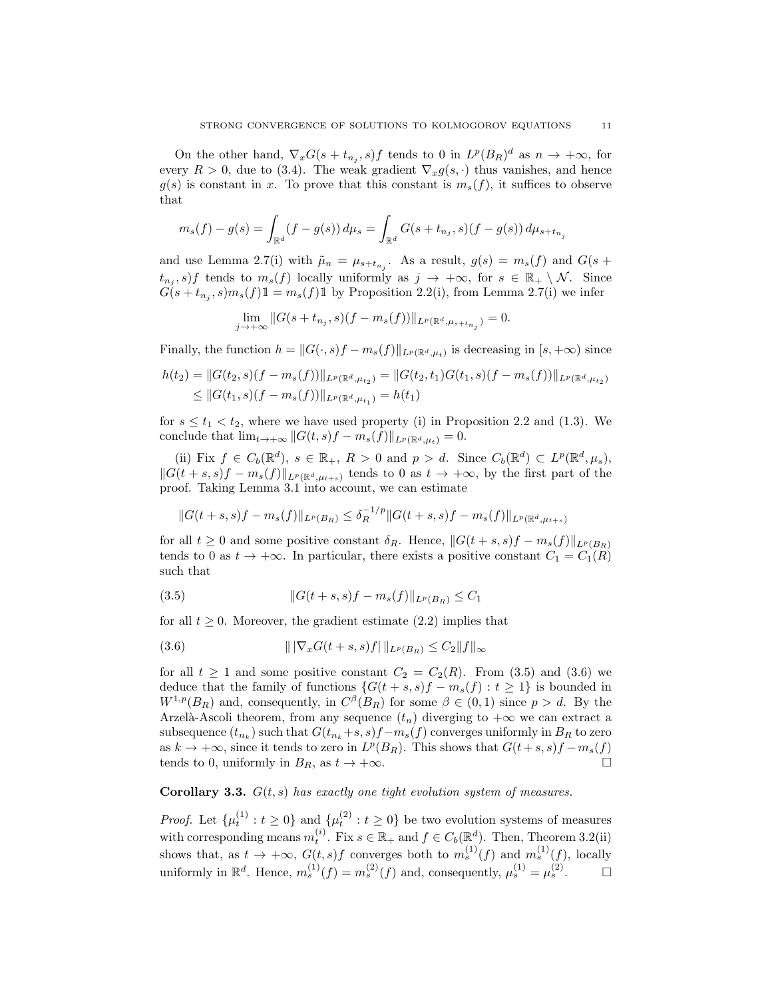On the other hand,  $\nabla_x G(s+t_{n_j},s) f$  tends to 0 in  $L^p(B_R)^d$  as  $n \to +\infty$ , for every  $R > 0$ , due to (3.4). The weak gradient  $\nabla_x g(s, \cdot)$  thus vanishes, and hence  $g(s)$  is constant in x. To prove that this constant is  $m_s(f)$ , it suffices to observe that

$$
m_s(f) - g(s) = \int_{\mathbb{R}^d} (f - g(s)) d\mu_s = \int_{\mathbb{R}^d} G(s + t_{n_j}, s)(f - g(s)) d\mu_{s + t_{n_j}}
$$

and use Lemma 2.7(i) with  $\tilde{\mu}_n = \mu_{s+t_{n_j}}$ . As a result,  $g(s) = m_s(f)$  and  $G(s +$  $t_{n_j}, s$  tends to  $m_s(f)$  locally uniformly as  $j \to +\infty$ , for  $s \in \mathbb{R}_+ \setminus \mathcal{N}$ . Since  $G(s+t_{n_j},s)m_s(f)\mathbb{1}=m_s(f)\mathbb{1}$  by Proposition 2.2(i), from Lemma 2.7(i) we infer

$$
\lim_{j \to +\infty} \|G(s+t_{n_j},s)(f-m_s(f))\|_{L^p(\mathbb{R}^d, \mu_{s+t_{n_j}})}=0.
$$

Finally, the function  $h = ||G(\cdot, s)f - m_s(f)||_{L^p(\mathbb{R}^d, \mu_t)}$  is decreasing in  $[s, +\infty)$  since

$$
h(t_2) = ||G(t_2, s)(f - m_s(f))||_{L^p(\mathbb{R}^d, \mu_{t_2})} = ||G(t_2, t_1)G(t_1, s)(f - m_s(f))||_{L^p(\mathbb{R}^d, \mu_{t_2})}
$$
  
\n
$$
\leq ||G(t_1, s)(f - m_s(f))||_{L^p(\mathbb{R}^d, \mu_{t_1})} = h(t_1)
$$

for  $s \leq t_1 < t_2$ , where we have used property (i) in Proposition 2.2 and (1.3). We conclude that  $\lim_{t\to+\infty}||G(t,s)f - m_s(f)||_{L^p(\mathbb{R}^d,\mu_t)} = 0.$ 

(ii) Fix  $f \in C_b(\mathbb{R}^d)$ ,  $s \in \mathbb{R}_+$ ,  $R > 0$  and  $p > d$ . Since  $C_b(\mathbb{R}^d) \subset L^p(\mathbb{R}^d, \mu_s)$ ,  $||G(t + s, s)f - m_s(f)||_{L^p(\mathbb{R}^d, \mu_{t+s})}$  tends to 0 as  $t \to +\infty$ , by the first part of the proof. Taking Lemma 3.1 into account, we can estimate

$$
||G(t+s,s)f-m_s(f)||_{L^p(B_R)} \leq \delta_R^{-1/p} ||G(t+s,s)f-m_s(f)||_{L^p(\mathbb{R}^d,\mu_{t+s})}
$$

for all  $t \geq 0$  and some positive constant  $\delta_R$ . Hence,  $||G(t + s, s)f - m_s(f)||_{L^p(B_R)}$ tends to 0 as  $t \to +\infty$ . In particular, there exists a positive constant  $C_1 = C_1(R)$ such that

(3.5) 
$$
||G(t+s,s)f - m_s(f)||_{L^p(B_R)} \le C_1
$$

for all  $t \geq 0$ . Moreover, the gradient estimate (2.2) implies that

(3.6) 
$$
\| |\nabla_x G(t+s,s)f| \|_{L^p(B_R)} \leq C_2 \|f\|_{\infty}
$$

for all  $t \geq 1$  and some positive constant  $C_2 = C_2(R)$ . From (3.5) and (3.6) we deduce that the family of functions  $\{G(t + s, s)f - m_s(f) : t \geq 1\}$  is bounded in  $W^{1,p}(B_R)$  and, consequently, in  $C^{\beta}(B_R)$  for some  $\beta \in (0,1)$  since  $p > d$ . By the Arzelà-Ascoli theorem, from any sequence  $(t_n)$  diverging to  $+\infty$  we can extract a subsequence  $(t_{n_k})$  such that  $G(t_{n_k}+s,s)f-m_s(f)$  converges uniformly in  $B_R$  to zero as  $k \to +\infty$ , since it tends to zero in  $L^p(B_R)$ . This shows that  $G(t+s, s)f - m_s(f)$ tends to 0, uniformly in  $B_R$ , as  $t \to +\infty$ .

# **Corollary 3.3.**  $G(t, s)$  has exactly one tight evolution system of measures.

*Proof.* Let  $\{\mu_t^{(1)}: t \geq 0\}$  and  $\{\mu_t^{(2)}: t \geq 0\}$  be two evolution systems of measures with corresponding means  $m_t^{(i)}$ . Fix  $s \in \mathbb{R}_+$  and  $f \in C_b(\mathbb{R}^d)$ . Then, Theorem 3.2(ii) shows that, as  $t \to +\infty$ ,  $G(t, s)f$  converges both to  $m_s^{(1)}(f)$  and  $m_s^{(1)}(f)$ , locally uniformly in  $\mathbb{R}^d$ . Hence,  $m_s^{(1)}(f) = m_s^{(2)}(f)$  and, consequently,  $\mu_s^{(1)} = \mu_s^{(2)}$ .  $\Box$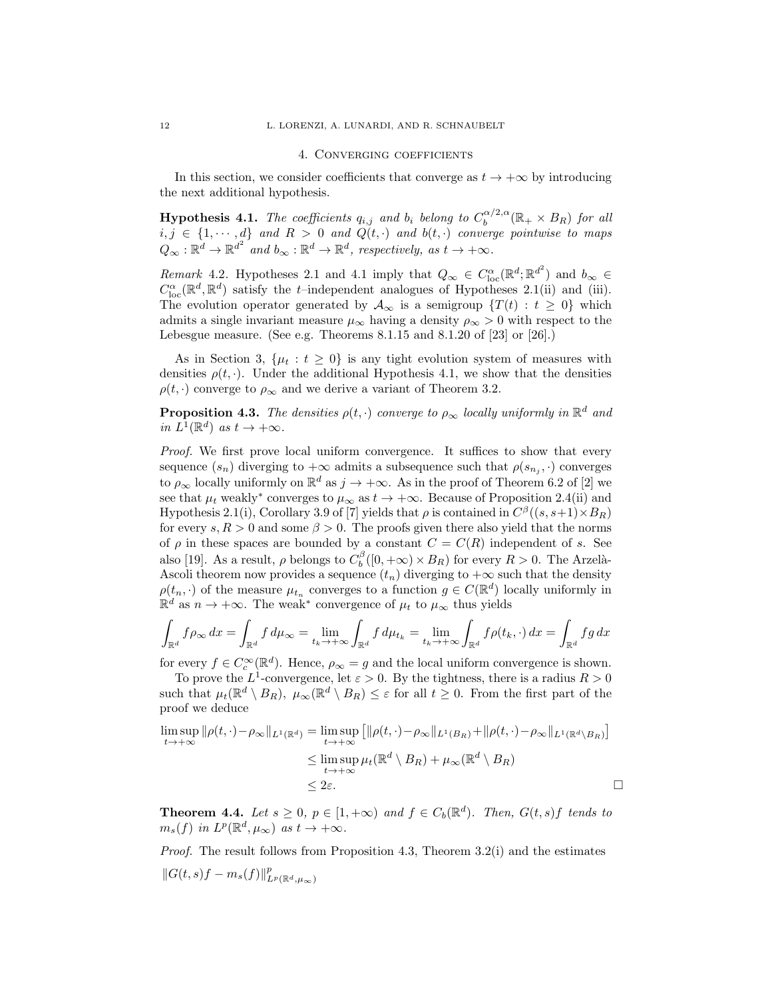### 4. Converging coefficients

In this section, we consider coefficients that converge as  $t \to +\infty$  by introducing the next additional hypothesis.

**Hypothesis 4.1.** The coefficients  $q_{i,j}$  and  $b_i$  belong to  $C_b^{\alpha/2,\alpha}$  $b_0^{\alpha/2,\alpha}(\mathbb{R}_+\times B_R)$  for all  $i, j \in \{1, \dots, d\}$  and  $R > 0$  and  $Q(t, \cdot)$  and  $b(t, \cdot)$  converge pointwise to maps  $Q_{\infty} : \mathbb{R}^d \to \mathbb{R}^{d^2}$  and  $b_{\infty} : \mathbb{R}^d \to \mathbb{R}^d$ , respectively, as  $t \to +\infty$ .

Remark 4.2. Hypotheses 2.1 and 4.1 imply that  $Q_{\infty} \in C^{\alpha}_{loc}(\mathbb{R}^d; \mathbb{R}^{d^2})$  and  $b_{\infty} \in$  $C^{\alpha}_{\text{loc}}(\mathbb{R}^d, \mathbb{R}^d)$  satisfy the t-independent analogues of Hypotheses 2.1(ii) and (iii). The evolution operator generated by  $\mathcal{A}_{\infty}$  is a semigroup  $\{T(t): t \geq 0\}$  which admits a single invariant measure  $\mu_{\infty}$  having a density  $\rho_{\infty} > 0$  with respect to the Lebesgue measure. (See e.g. Theorems 8.1.15 and 8.1.20 of [23] or [26].)

As in Section 3,  $\{\mu_t : t \geq 0\}$  is any tight evolution system of measures with densities  $\rho(t, \cdot)$ . Under the additional Hypothesis 4.1, we show that the densities  $\rho(t, \cdot)$  converge to  $\rho_{\infty}$  and we derive a variant of Theorem 3.2.

**Proposition 4.3.** The densities  $\rho(t, \cdot)$  converge to  $\rho_{\infty}$  locally uniformly in  $\mathbb{R}^d$  and in  $L^1(\mathbb{R}^d)$  as  $t \to +\infty$ .

Proof. We first prove local uniform convergence. It suffices to show that every sequence  $(s_n)$  diverging to  $+\infty$  admits a subsequence such that  $\rho(s_{n_j}, \cdot)$  converges to  $\rho_{\infty}$  locally uniformly on  $\mathbb{R}^d$  as  $j \to +\infty$ . As in the proof of Theorem 6.2 of [2] we see that  $\mu_t$  weakly<sup>\*</sup> converges to  $\mu_\infty$  as  $t \to +\infty$ . Because of Proposition 2.4(ii) and Hypothesis 2.1(i), Corollary 3.9 of [7] yields that  $\rho$  is contained in  $C^{\beta}((s, s+1) \times B_R)$ for every s,  $R > 0$  and some  $\beta > 0$ . The proofs given there also yield that the norms of  $\rho$  in these spaces are bounded by a constant  $C = C(R)$  independent of s. See also [19]. As a result,  $\rho$  belongs to  $C_b^{\beta}([0, +\infty) \times B_R)$  for every  $R > 0$ . The Arzelà-Ascoli theorem now provides a sequence  $(t_n)$  diverging to  $+\infty$  such that the density  $\rho(t_n, \cdot)$  of the measure  $\mu_{t_n}$  converges to a function  $g \in C(\mathbb{R}^d)$  locally uniformly in  $\mathbb{R}^d$  as  $n \to +\infty$ . The weak<sup>\*</sup> convergence of  $\mu_t$  to  $\mu_\infty$  thus yields

$$
\int_{\mathbb{R}^d} f \rho_\infty \, dx = \int_{\mathbb{R}^d} f \, d\mu_\infty = \lim_{t_k \to +\infty} \int_{\mathbb{R}^d} f \, d\mu_{t_k} = \lim_{t_k \to +\infty} \int_{\mathbb{R}^d} f \rho(t_k, \cdot) \, dx = \int_{\mathbb{R}^d} f g \, dx
$$

for every  $f \in C_c^{\infty}(\mathbb{R}^d)$ . Hence,  $\rho_{\infty} = g$  and the local uniform convergence is shown.

To prove the  $L^1$ -convergence, let  $\varepsilon > 0$ . By the tightness, there is a radius  $R > 0$ such that  $\mu_t(\mathbb{R}^d \setminus B_R)$ ,  $\mu_\infty(\mathbb{R}^d \setminus B_R) \leq \varepsilon$  for all  $t \geq 0$ . From the first part of the proof we deduce

$$
\limsup_{t \to +\infty} \|\rho(t,\cdot) - \rho_{\infty}\|_{L^{1}(\mathbb{R}^{d})} = \limsup_{t \to +\infty} \left[ \|\rho(t,\cdot) - \rho_{\infty}\|_{L^{1}(B_{R})} + \|\rho(t,\cdot) - \rho_{\infty}\|_{L^{1}(\mathbb{R}^{d} \setminus B_{R})} \right]
$$
\n
$$
\leq \limsup_{t \to +\infty} \mu_{t}(\mathbb{R}^{d} \setminus B_{R}) + \mu_{\infty}(\mathbb{R}^{d} \setminus B_{R})
$$
\n
$$
\leq 2\varepsilon.
$$

**Theorem 4.4.** Let  $s \geq 0$ ,  $p \in [1, +\infty)$  and  $f \in C_b(\mathbb{R}^d)$ . Then,  $G(t, s)f$  tends to  $m_s(f)$  in  $L^p(\mathbb{R}^d, \mu_\infty)$  as  $t \to +\infty$ .

Proof. The result follows from Proposition 4.3, Theorem 3.2(i) and the estimates  $||G(t, s)f - m_s(f)||^p_{L^p(\mathbb{R}^d, \mu_\infty)}$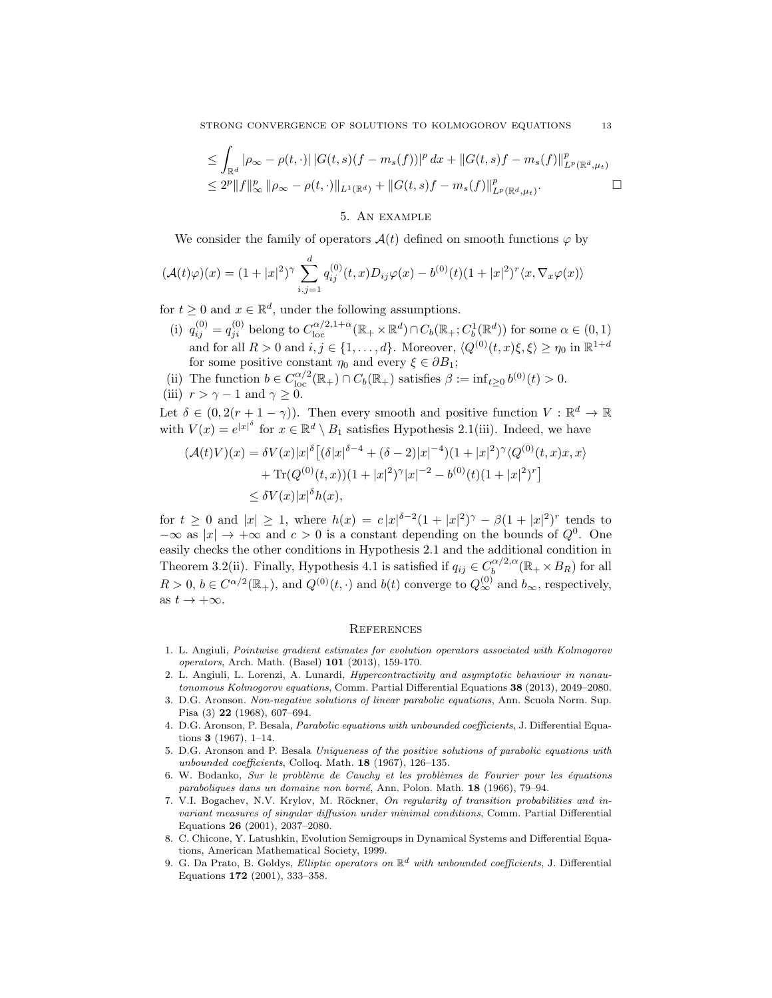STRONG CONVERGENCE OF SOLUTIONS TO KOLMOGOROV EQUATIONS 13

$$
\leq \int_{\mathbb{R}^d} |\rho_{\infty} - \rho(t, \cdot)| |G(t, s)(f - m_s(f))|^p dx + ||G(t, s)f - m_s(f)||_{L^p(\mathbb{R}^d, \mu_t)}^p
$$
  

$$
\leq 2^p ||f||_{\infty}^p ||\rho_{\infty} - \rho(t, \cdot)||_{L^1(\mathbb{R}^d)} + ||G(t, s)f - m_s(f)||_{L^p(\mathbb{R}^d, \mu_t)}^p.
$$

## 5. An example

We consider the family of operators  $\mathcal{A}(t)$  defined on smooth functions  $\varphi$  by

$$
(\mathcal{A}(t)\varphi)(x) = (1+|x|^2)^{\gamma} \sum_{i,j=1}^d q_{ij}^{(0)}(t,x)D_{ij}\varphi(x) - b^{(0)}(t)(1+|x|^2)^r \langle x, \nabla_x \varphi(x) \rangle
$$

for  $t \geq 0$  and  $x \in \mathbb{R}^d$ , under the following assumptions.

- (i)  $q_{ij}^{(0)} = q_{ji}^{(0)}$  belong to  $C_{\text{loc}}^{\alpha/2,1+\alpha}(\mathbb{R}_+ \times \mathbb{R}^d) \cap C_b(\mathbb{R}_+; C_b^1(\mathbb{R}^d))$  for some  $\alpha \in (0,1)$ and for all  $R > 0$  and  $i, j \in \{1, ..., d\}$ . Moreover,  $\langle Q^{(0)}(t, x) \xi, \xi \rangle \ge \eta_0$  in  $\mathbb{R}^{1+d}$ for some positive constant  $\eta_0$  and every  $\xi \in \partial B_1$ ;
- (ii) The function  $b \in C_{\text{loc}}^{\alpha/2}(\mathbb{R}_+) \cap C_b(\mathbb{R}_+)$  satisfies  $\beta := \inf_{t \geq 0} b^{(0)}(t) > 0$ . (iii)  $r > \gamma - 1$  and  $\gamma \geq 0$ .

Let  $\delta \in (0, 2(r + 1 - \gamma))$ . Then every smooth and positive function  $V : \mathbb{R}^d \to \mathbb{R}$ with  $V(x) = e^{|x|^{\delta}}$  for  $x \in \mathbb{R}^d \setminus B_1$  satisfies Hypothesis 2.1(iii). Indeed, we have

$$
(\mathcal{A}(t)V)(x) = \delta V(x)|x|^{\delta} \left[ (\delta|x|^{\delta-4} + (\delta-2)|x|^{-4})(1+|x|^2)^{\gamma} \langle Q^{(0)}(t,x)x, x \rangle \right. \\ \left. + \text{Tr}(Q^{(0)}(t,x))(1+|x|^2)^{\gamma} |x|^{-2} - b^{(0)}(t)(1+|x|^2)^{r} \right] \\ \leq \delta V(x)|x|^{\delta} h(x),
$$

for  $t \geq 0$  and  $|x| \geq 1$ , where  $h(x) = c|x|^{\delta-2}(1+|x|^2)^{\gamma} - \beta(1+|x|^2)^{r}$  tends to  $-\infty$  as  $|x| \to +\infty$  and  $c > 0$  is a constant depending on the bounds of  $Q^0$ . One easily checks the other conditions in Hypothesis 2.1 and the additional condition in Theorem 3.2(ii). Finally, Hypothesis 4.1 is satisfied if  $q_{ij} \in C_b^{\alpha/2,\alpha}$  $b_0^{\alpha/2,\alpha}(\mathbb{R}_+\times B_R)$  for all  $R > 0, b \in C^{\alpha/2}(\mathbb{R}_+),$  and  $Q^{(0)}(t, \cdot)$  and  $b(t)$  converge to  $Q_{\infty}^{(0)}$  and  $b_{\infty}$ , respectively, as  $t \to +\infty$ .

### **REFERENCES**

- 1. L. Angiuli, Pointwise gradient estimates for evolution operators associated with Kolmogorov operators, Arch. Math. (Basel) 101 (2013), 159-170.
- 2. L. Angiuli, L. Lorenzi, A. Lunardi, Hypercontractivity and asymptotic behaviour in nonautonomous Kolmogorov equations, Comm. Partial Differential Equations 38 (2013), 2049–2080.
- 3. D.G. Aronson. Non-negative solutions of linear parabolic equations, Ann. Scuola Norm. Sup. Pisa (3) 22 (1968), 607–694.
- 4. D.G. Aronson, P. Besala, Parabolic equations with unbounded coefficients, J. Differential Equations 3 (1967), 1–14.
- 5. D.G. Aronson and P. Besala Uniqueness of the positive solutions of parabolic equations with unbounded coefficients, Colloq. Math. 18 (1967), 126–135.
- 6. W. Bodanko, Sur le problème de Cauchy et les problèmes de Fourier pour les équations paraboliques dans un domaine non borné, Ann. Polon. Math. 18 (1966), 79–94.
- 7. V.I. Bogachev, N.V. Krylov, M. Röckner, On regularity of transition probabilities and invariant measures of singular diffusion under minimal conditions, Comm. Partial Differential Equations 26 (2001), 2037–2080.
- 8. C. Chicone, Y. Latushkin, Evolution Semigroups in Dynamical Systems and Differential Equations, American Mathematical Society, 1999.
- 9. G. Da Prato, B. Goldys, *Elliptic operators on*  $\mathbb{R}^d$  with unbounded coefficients, J. Differential Equations 172 (2001), 333–358.